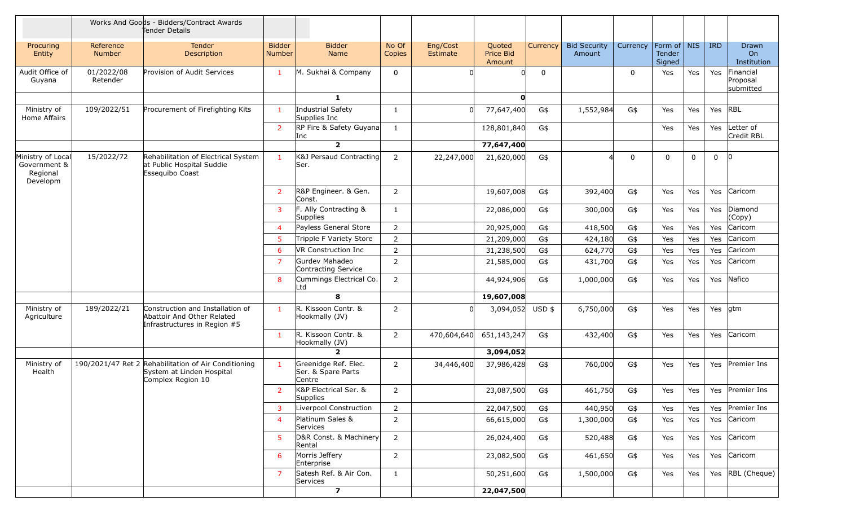|                                                           |                        | Works And Goods - Bidders/Contract Awards<br>Tender Details                                            |                                |                                                      |                 |                      |                               |          |                               |             |                                   |             |             |                                    |
|-----------------------------------------------------------|------------------------|--------------------------------------------------------------------------------------------------------|--------------------------------|------------------------------------------------------|-----------------|----------------------|-------------------------------|----------|-------------------------------|-------------|-----------------------------------|-------------|-------------|------------------------------------|
| Procuring<br>Entity                                       | Reference<br>Number    | <b>Tender</b><br>Description                                                                           | <b>Bidder</b><br><b>Number</b> | <b>Bidder</b><br>Name                                | No Of<br>Copies | Eng/Cost<br>Estimate | Quoted<br>Price Bid<br>Amount | Currency | <b>Bid Security</b><br>Amount | Currency    | Form of   NIS<br>Tender<br>Signed |             | <b>IRD</b>  | <b>Drawn</b><br>On<br>Institution  |
| Audit Office of<br>Guyana                                 | 01/2022/08<br>Retender | Provision of Audit Services                                                                            | $\mathbf{1}$                   | M. Sukhai & Company                                  | $\mathbf 0$     |                      |                               | 0        |                               | 0           | Yes                               | Yes         | Yes         | Financial<br>Proposal<br>submitted |
|                                                           |                        |                                                                                                        |                                | $\mathbf{1}$                                         |                 |                      | O                             |          |                               |             |                                   |             |             |                                    |
| Ministry of<br>Home Affairs                               | 109/2022/51            | Procurement of Firefighting Kits                                                                       | $\mathbf{1}$                   | Industrial Safety<br>Supplies Inc                    | $\mathbf{1}$    | $\Omega$             | 77,647,400                    | G\$      | 1,552,984                     | G\$         | Yes                               | Yes         | Yes         | RBL                                |
|                                                           |                        |                                                                                                        | 2                              | RP Fire & Safety Guyana<br>Inc                       | 1               |                      | 128,801,840                   | G\$      |                               |             | Yes                               | Yes         | Yes         | Letter of<br>Credit RBL            |
|                                                           |                        |                                                                                                        |                                | $\overline{\mathbf{2}}$                              |                 |                      | 77,647,400                    |          |                               |             |                                   |             |             |                                    |
| Ministry of Local<br>Government &<br>Regional<br>Developm | 15/2022/72             | Rehabilitation of Electrical System<br>at Public Hospital Suddie<br>Essequibo Coast                    | -1                             | K&J Persaud Contracting<br>Ser.                      | 2               | 22,247,000           | 21,620,000                    | G\$      |                               | $\mathbf 0$ | $\mathbf 0$                       | $\mathbf 0$ | $\mathbf 0$ | $\overline{0}$                     |
|                                                           |                        |                                                                                                        | 2                              | R&P Engineer. & Gen.<br>Const.                       | $\overline{2}$  |                      | 19,607,008                    | G\$      | 392,400                       | G\$         | Yes                               | Yes         | Yes         | Caricom                            |
|                                                           |                        |                                                                                                        | 3                              | F. Ally Contracting &<br>Supplies                    | $\mathbf{1}$    |                      | 22,086,000                    | G\$      | 300,000                       | G\$         | Yes                               | Yes         | Yes         | Diamond<br>(Copy)                  |
|                                                           |                        |                                                                                                        |                                | Payless General Store                                | $\overline{2}$  |                      | 20,925,000                    | G\$      | 418,500                       | G\$         | Yes                               | Yes         | Yes         | Caricom                            |
|                                                           |                        |                                                                                                        | 5                              | Tripple F Variety Store                              | $\overline{2}$  |                      | 21,209,000                    | $G$ \$   | 424,180                       | G\$         | Yes                               | Yes         | Yes         | Caricom                            |
|                                                           |                        |                                                                                                        | -6                             | VR Construction Inc                                  | $\overline{2}$  |                      | 31,238,500                    | G\$      | 624,770                       | G\$         | Yes                               | Yes         | Yes         | Caricom                            |
|                                                           |                        |                                                                                                        |                                | Gurdev Mahadeo<br>Contracting Service                | $\overline{2}$  |                      | 21,585,000                    | G\$      | 431,700                       | G\$         | Yes                               | Yes         | Yes         | Caricom                            |
|                                                           |                        |                                                                                                        | 8                              | Cummings Electrical Co.<br>Ltd                       | $\overline{2}$  |                      | 44,924,906                    | G\$      | 1,000,000                     | G\$         | Yes                               | Yes         | Yes         | Nafico                             |
|                                                           |                        |                                                                                                        |                                | 8                                                    |                 |                      | 19,607,008                    |          |                               |             |                                   |             |             |                                    |
| Ministry of<br>Agriculture                                | 189/2022/21            | Construction and Installation of<br>Abattoir And Other Related<br>Infrastructures in Region #5         | $\mathbf{1}$                   | R. Kissoon Contr. &<br>Hookmally (JV)                | $\overline{2}$  | $\Omega$             | 3,094,052                     | $USD$ \$ | 6,750,000                     | G\$         | Yes                               | Yes         | Yes         | gtm                                |
|                                                           |                        |                                                                                                        | $\mathbf{1}$                   | R. Kissoon Contr. &<br>Hookmally (JV)                | 2               | 470,604,640          | 651,143,247                   | G\$      | 432,400                       | G\$         | Yes                               | Yes         | Yes         | Caricom                            |
|                                                           |                        |                                                                                                        |                                | $\overline{2}$                                       |                 |                      | 3,094,052                     |          |                               |             |                                   |             |             |                                    |
| Ministry of<br>Health                                     |                        | 190/2021/47 Ret 2 Rehabilitation of Air Conditioning<br>System at Linden Hospital<br>Complex Region 10 | $\blacksquare$                 | Greenidge Ref. Elec.<br>Ser. & Spare Parts<br>Centre | $\overline{2}$  | 34,446,400           | 37,986,428                    | G\$      | 760,000                       | G\$         | Yes                               | Yes         |             | Yes Premier Ins                    |
|                                                           |                        |                                                                                                        | $\overline{2}$                 | K&P Electrical Ser. &<br>Supplies                    | $\overline{2}$  |                      | 23,087,500                    | G\$      | 461,750                       | G\$         | Yes                               |             |             | Yes   Yes   Premier Ins            |
|                                                           |                        |                                                                                                        |                                | Liverpool Construction                               | $\overline{2}$  |                      | 22,047,500                    | G\$      | 440,950                       | G\$         | Yes                               | Yes         |             | Yes Premier Ins                    |
|                                                           |                        |                                                                                                        | $\overline{4}$                 | Platinum Sales &<br>Services                         | $\overline{2}$  |                      | 66,615,000                    | G\$      | 1,300,000                     | G\$         | Yes                               | Yes         |             | Yes Caricom                        |
|                                                           |                        |                                                                                                        | 5                              | D&R Const. & Machinery<br>Rental                     | $\overline{2}$  |                      | 26,024,400                    | G\$      | 520,488                       | G\$         | Yes                               | Yes         |             | Yes Caricom                        |
|                                                           |                        |                                                                                                        | 6                              | Morris Jeffery<br>Enterprise                         | $\overline{2}$  |                      | 23,082,500                    | G\$      | 461,650                       | G\$         | Yes                               | Yes         |             | Yes Caricom                        |
|                                                           |                        |                                                                                                        |                                | Satesh Ref. & Air Con.<br>Services                   | $\mathbf{1}$    |                      | 50,251,600                    | G\$      | 1,500,000                     | G\$         | Yes                               | Yes         |             | Yes RBL (Cheque)                   |
|                                                           |                        |                                                                                                        |                                | $\overline{\mathbf{z}}$                              |                 |                      | 22,047,500                    |          |                               |             |                                   |             |             |                                    |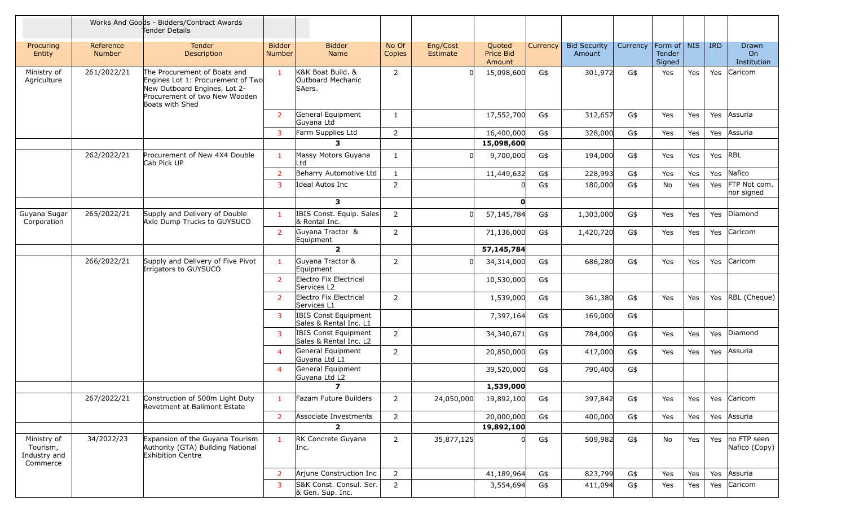|                                                     | Works And Goods - Bidders/Contract Awards<br>Tender Details |                                                                                                                                                       |                                |                                                       |                 |                      |                               |          |                               |          |                                   |     |            |                              |
|-----------------------------------------------------|-------------------------------------------------------------|-------------------------------------------------------------------------------------------------------------------------------------------------------|--------------------------------|-------------------------------------------------------|-----------------|----------------------|-------------------------------|----------|-------------------------------|----------|-----------------------------------|-----|------------|------------------------------|
| Procuring<br>Entity                                 | Reference<br>Number                                         | <b>Tender</b><br>Description                                                                                                                          | <b>Bidder</b><br><b>Number</b> | <b>Bidder</b><br>Name                                 | No Of<br>Copies | Eng/Cost<br>Estimate | Quoted<br>Price Bid<br>Amount | Currency | <b>Bid Security</b><br>Amount | Currency | Form of   NIS<br>Tender<br>Signed |     | <b>IRD</b> | Drawn<br>On<br>Institution   |
| Ministry of<br>Agriculture                          | 261/2022/21                                                 | The Procurement of Boats and<br>Engines Lot 1: Procurement of Two<br>New Outboard Engines, Lot 2-<br>Procurement of two New Wooden<br>Boats with Shed | $\overline{1}$                 | K&K Boat Build. &<br>Outboard Mechanic<br>SAers.      | $\overline{2}$  | <sup>n</sup>         | 15,098,600                    | G\$      | 301,972                       | G\$      | Yes                               | Yes | Yes        | Caricom                      |
|                                                     |                                                             |                                                                                                                                                       | $\overline{2}$                 | General Equipment<br>Guyana Ltd                       | $\mathbf{1}$    |                      | 17,552,700                    | G\$      | 312,657                       | G\$      | Yes                               | Yes | Yes        | Assuria                      |
|                                                     |                                                             |                                                                                                                                                       | 3                              | Farm Supplies Ltd                                     | $\overline{2}$  |                      | 16,400,000                    | G\$      | 328,000                       | G\$      | Yes                               | Yes | Yes        | Assuria                      |
|                                                     |                                                             |                                                                                                                                                       |                                | 3                                                     |                 |                      | 15,098,600                    |          |                               |          |                                   |     |            |                              |
|                                                     | 262/2022/21                                                 | Procurement of New 4X4 Double<br>Cab Pick UP                                                                                                          | -1                             | Massy Motors Guyana<br>∟td                            | $\mathbf{1}$    | $\Omega$             | 9,700,000                     | G\$      | 194,000                       | G\$      | Yes                               | Yes | Yes RBL    |                              |
|                                                     |                                                             |                                                                                                                                                       | 2                              | Beharry Automotive Ltd                                | $\mathbf{1}$    |                      | 11,449,632                    | G\$      | 228,993                       | G\$      | Yes                               | Yes | Yes        | Nafico                       |
|                                                     |                                                             |                                                                                                                                                       | 3                              | Ideal Autos Inc                                       | $\overline{2}$  |                      |                               | G\$      | 180,000                       | G\$      | No                                | Yes | Yes        | FTP Not com.<br>nor signed   |
|                                                     |                                                             |                                                                                                                                                       |                                | $\overline{\mathbf{3}}$                               |                 |                      | O                             |          |                               |          |                                   |     |            |                              |
| Guyana Sugar<br>Corporation                         | 265/2022/21                                                 | Supply and Delivery of Double<br>Axle Dump Trucks to GUYSUCO                                                                                          | $\mathbf{1}$                   | IBIS Const. Equip. Sales<br>& Rental Inc.             | $\overline{2}$  | <sup>0</sup>         | 57,145,784                    | G\$      | 1,303,000                     | G\$      | Yes                               | Yes |            | Yes Diamond                  |
|                                                     |                                                             |                                                                                                                                                       | $\overline{2}$                 | Guyana Tractor &<br>Equipment                         | $\overline{2}$  |                      | 71,136,000                    | G\$      | 1,420,720                     | G\$      | Yes                               | Yes | Yes        | Caricom                      |
|                                                     |                                                             |                                                                                                                                                       |                                | $\overline{2}$                                        |                 |                      | 57,145,784                    |          |                               |          |                                   |     |            |                              |
|                                                     | 266/2022/21                                                 | Supply and Delivery of Five Pivot<br>Irrigators to GUYSUCO                                                                                            | $\blacksquare$                 | Guyana Tractor &<br>Equipment                         | $\overline{2}$  | <sup>0</sup>         | 34,314,000                    | G\$      | 686,280                       | G\$      | Yes                               | Yes | Yes        | Caricom                      |
|                                                     |                                                             |                                                                                                                                                       | $\overline{2}$                 | Electro Fix Electrical<br>Services L2                 |                 |                      | 10,530,000                    | G\$      |                               |          |                                   |     |            |                              |
|                                                     |                                                             |                                                                                                                                                       | $\overline{2}$                 | Electro Fix Electrical<br>Services L1                 | $\overline{2}$  |                      | 1,539,000                     | G\$      | 361,380                       | G\$      | Yes                               | Yes | Yes        | RBL (Cheque)                 |
|                                                     |                                                             |                                                                                                                                                       | $\mathbf{3}$                   | IBIS Const Equipment<br>Sales & Rental Inc. L1        |                 |                      | 7,397,164                     | G\$      | 169,000                       | G\$      |                                   |     |            |                              |
|                                                     |                                                             |                                                                                                                                                       | 3                              | <b>IBIS Const Equipment</b><br>Sales & Rental Inc. L2 | $\overline{2}$  |                      | 34,340,671                    | G\$      | 784,000                       | G\$      | Yes                               | Yes | Yes        | Diamond                      |
|                                                     |                                                             |                                                                                                                                                       | $\overline{4}$                 | General Equipment<br>Guyana Ltd L1                    | $\overline{2}$  |                      | 20,850,000                    | G\$      | 417,000                       | G\$      | Yes                               | Yes | Yes        | Assuria                      |
|                                                     |                                                             |                                                                                                                                                       | $\overline{4}$                 | General Equipment<br>Guyana Ltd L2                    |                 |                      | 39,520,000                    | G\$      | 790,400                       | G\$      |                                   |     |            |                              |
|                                                     |                                                             |                                                                                                                                                       |                                | $\overline{ }$                                        |                 |                      | 1,539,000                     |          |                               |          |                                   |     |            |                              |
|                                                     | 267/2022/21                                                 | Construction of 500m Light Duty<br>Revetment at Balimont Estate                                                                                       | -1                             | Fazam Future Builders                                 | $\overline{2}$  | 24,050,000           | 19,892,100                    | G\$      | 397,842                       | G\$      | Yes                               | Yes | Yes        | Caricom                      |
|                                                     |                                                             |                                                                                                                                                       | $\overline{2}$                 | Associate Investments                                 | $\overline{2}$  |                      | 20,000,000                    | G\$      | 400,000                       | G\$      | Yes                               | Yes | Yes        | Assuria                      |
|                                                     |                                                             |                                                                                                                                                       |                                | $\overline{2}$                                        |                 |                      | 19,892,100                    |          |                               |          |                                   |     |            |                              |
| Ministry of<br>Tourism,<br>Industry and<br>Commerce | 34/2022/23                                                  | Expansion of the Guyana Tourism<br>Authority (GTA) Building National<br><b>Exhibition Centre</b>                                                      |                                | RK Concrete Guyana<br>Inc.                            | $\overline{2}$  | 35,877,125           |                               | G\$      | 509,982                       | $G\$     | No                                | Yes | Yes        | no FTP seen<br>Nafico (Copy) |
|                                                     |                                                             |                                                                                                                                                       | 2                              | Arjune Construction Inc                               | $\overline{2}$  |                      | 41,189,964                    | G\$      | 823,799                       | G\$      | Yes                               | Yes | Yes        | Assuria                      |
|                                                     |                                                             |                                                                                                                                                       | 3                              | S&K Const. Consul. Ser.<br>& Gen. Sup. Inc.           | $\overline{2}$  |                      | 3,554,694                     | G\$      | 411,094                       | G\$      | Yes                               | Yes | Yes        | Caricom                      |